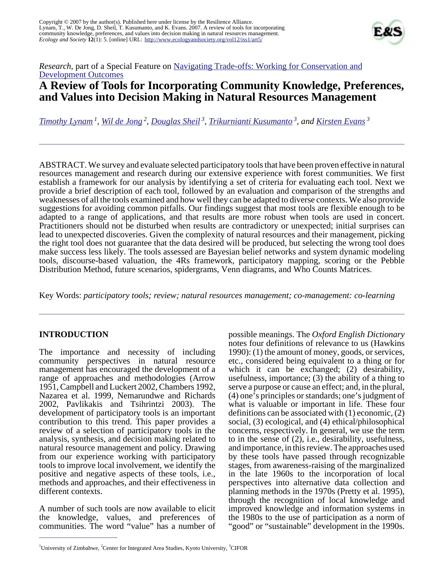

*Research*, part of a Special Feature on [Navigating Trade-offs: Working for Conservation and](http://www.ecologyandsociety.org/viewissue.php?sf=26) [Development Outcomes](http://www.ecologyandsociety.org/viewissue.php?sf=26)

# **A Review of Tools for Incorporating Community Knowledge, Preferences, and Values into Decision Making in Natural Resources Management**

*[Timothy Lynam](mailto:Tim.Lynam@csiro.au)<sup>1</sup> , [Wil de Jong](mailto:wdejong@cias.kyoto-u.ac.jp)<sup>2</sup> , [Douglas Sheil](mailto:d.sheil@cgiar.org)<sup>3</sup> , [Trikurnianti Kusumanto](mailto:t.kusumanto@cgiar.org)<sup>3</sup>, and [Kirsten Evans](mailto:kristenannevans@hotmail.com)<sup>3</sup>*

ABSTRACT. We survey and evaluate selected participatory tools that have been proven effective in natural resources management and research during our extensive experience with forest communities. We first establish a framework for our analysis by identifying a set of criteria for evaluating each tool. Next we provide a brief description of each tool, followed by an evaluation and comparison of the strengths and weaknesses of all the tools examined and how well they can be adapted to diverse contexts. We also provide suggestions for avoiding common pitfalls. Our findings suggest that most tools are flexible enough to be adapted to a range of applications, and that results are more robust when tools are used in concert. Practitioners should not be disturbed when results are contradictory or unexpected; initial surprises can lead to unexpected discoveries. Given the complexity of natural resources and their management, picking the right tool does not guarantee that the data desired will be produced, but selecting the wrong tool does make success less likely. The tools assessed are Bayesian belief networks and system dynamic modeling tools, discourse-based valuation, the 4Rs framework, participatory mapping, scoring or the Pebble Distribution Method, future scenarios, spidergrams, Venn diagrams, and Who Counts Matrices.

Key Words: *participatory tools; review; natural resources management; co-management: co-learning*

### **INTRODUCTION**

The importance and necessity of including community perspectives in natural resource management has encouraged the development of a range of approaches and methodologies (Arrow 1951, Campbell and Luckert 2002, Chambers 1992, Nazarea et al. 1999, Nemarundwe and Richards 2002, Pavlikakis and Tsihrintzi 2003). The development of participatory tools is an important contribution to this trend. This paper provides a review of a selection of participatory tools in the analysis, synthesis, and decision making related to natural resource management and policy. Drawing from our experience working with participatory tools to improve local involvement, we identify the positive and negative aspects of these tools, i.e., methods and approaches, and their effectiveness in different contexts.

A number of such tools are now available to elicit the knowledge, values, and preferences of communities. The word "value" has a number of possible meanings. The *Oxford English Dictionary* notes four definitions of relevance to us (Hawkins 1990): (1) the amount of money, goods, or services, etc., considered being equivalent to a thing or for which it can be exchanged; (2) desirability, usefulness, importance; (3) the ability of a thing to serve a purpose or cause an effect; and, in the plural, (4) one's principles or standards; one's judgment of what is valuable or important in life. These four definitions can be associated with (1) economic, (2) social, (3) ecological, and (4) ethical/philosophical concerns, respectively. In general, we use the term to in the sense of (2), i.e., desirability, usefulness, and importance, in this review. The approaches used by these tools have passed through recognizable stages, from awareness-raising of the marginalized in the late 1960s to the incorporation of local perspectives into alternative data collection and planning methods in the 1970s (Pretty et al. 1995), through the recognition of local knowledge and improved knowledge and information systems in the 1980s to the use of participation as a norm of "good" or "sustainable" development in the 1990s.

<sup>&</sup>lt;sup>1</sup>University of Zimbabwe, <sup>2</sup>Center for Integrated Area Studies, Kyoto University, <sup>3</sup>CIFOR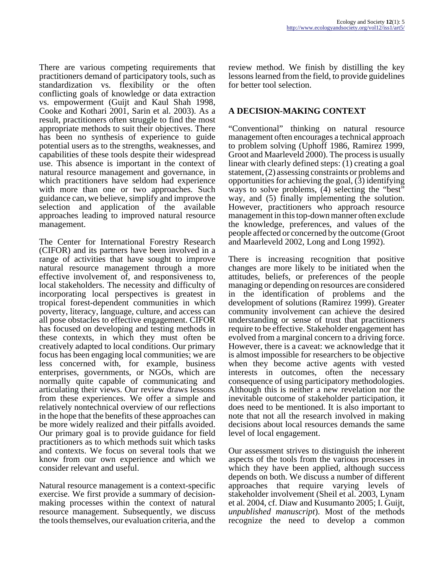There are various competing requirements that practitioners demand of participatory tools, such as standardization vs. flexibility or the often conflicting goals of knowledge or data extraction vs. empowerment (Guijt and Kaul Shah 1998, Cooke and Kothari 2001, Sarin et al. 2003). As a result, practitioners often struggle to find the most appropriate methods to suit their objectives. There has been no synthesis of experience to guide potential users as to the strengths, weaknesses, and capabilities of these tools despite their widespread use. This absence is important in the context of natural resource management and governance, in which practitioners have seldom had experience with more than one or two approaches. Such guidance can, we believe, simplify and improve the selection and application of the available approaches leading to improved natural resource management.

The Center for International Forestry Research (CIFOR) and its partners have been involved in a range of activities that have sought to improve natural resource management through a more effective involvement of, and responsiveness to, local stakeholders. The necessity and difficulty of incorporating local perspectives is greatest in tropical forest-dependent communities in which poverty, literacy, language, culture, and access can all pose obstacles to effective engagement. CIFOR has focused on developing and testing methods in these contexts, in which they must often be creatively adapted to local conditions. Our primary focus has been engaging local communities; we are less concerned with, for example, business enterprises, governments, or NGOs, which are normally quite capable of communicating and articulating their views. Our review draws lessons from these experiences. We offer a simple and relatively nontechnical overview of our reflections in the hope that the benefits of these approaches can be more widely realized and their pitfalls avoided. Our primary goal is to provide guidance for field practitioners as to which methods suit which tasks and contexts. We focus on several tools that we know from our own experience and which we consider relevant and useful.

Natural resource management is a context-specific exercise. We first provide a summary of decisionmaking processes within the context of natural resource management. Subsequently, we discuss the tools themselves, our evaluation criteria, and the

review method. We finish by distilling the key lessons learned from the field, to provide guidelines for better tool selection.

### **A DECISION-MAKING CONTEXT**

"Conventional" thinking on natural resource management often encourages a technical approach to problem solving (Uphoff 1986, Ramirez 1999, Groot and Maarleveld 2000). The process is usually linear with clearly defined steps: (1) creating a goal statement, (2) assessing constraints or problems and opportunities for achieving the goal, (3) identifying ways to solve problems, (4) selecting the "best" way, and (5) finally implementing the solution. However, practitioners who approach resource management in this top-down manner often exclude the knowledge, preferences, and values of the people affected or concerned by the outcome (Groot and Maarleveld 2002, Long and Long 1992).

There is increasing recognition that positive changes are more likely to be initiated when the attitudes, beliefs, or preferences of the people managing or depending on resources are considered in the identification of problems and the development of solutions (Ramirez 1999). Greater community involvement can achieve the desired understanding or sense of trust that practitioners require to be effective. Stakeholder engagement has evolved from a marginal concern to a driving force. However, there is a caveat: we acknowledge that it is almost impossible for researchers to be objective when they become active agents with vested interests in outcomes, often the necessary consequence of using participatory methodologies. Although this is neither a new revelation nor the inevitable outcome of stakeholder participation, it does need to be mentioned. It is also important to note that not all the research involved in making decisions about local resources demands the same level of local engagement.

Our assessment strives to distinguish the inherent aspects of the tools from the various processes in which they have been applied, although success depends on both. We discuss a number of different approaches that require varying levels of stakeholder involvement (Sheil et al. 2003, Lynam et al. 2004, cf. Diaw and Kusumanto 2005; I. Guijt, *unpublished manuscript*). Most of the methods recognize the need to develop a common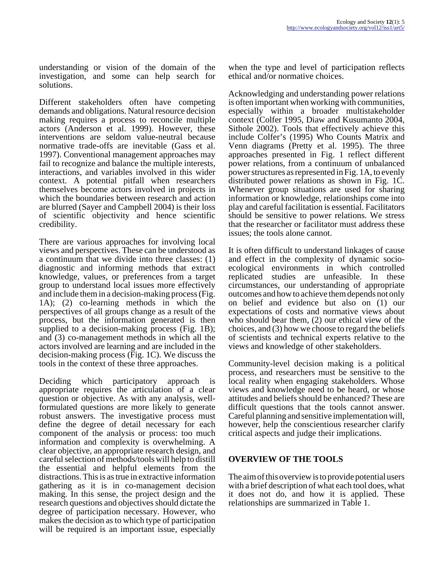understanding or vision of the domain of the investigation, and some can help search for solutions.

Different stakeholders often have competing demands and obligations. Natural resource decision making requires a process to reconcile multiple actors (Anderson et al. 1999). However, these interventions are seldom value-neutral because normative trade-offs are inevitable (Gass et al. 1997). Conventional management approaches may fail to recognize and balance the multiple interests, interactions, and variables involved in this wider context. A potential pitfall when researchers themselves become actors involved in projects in which the boundaries between research and action are blurred (Sayer and Campbell 2004) is their loss of scientific objectivity and hence scientific credibility.

There are various approaches for involving local views and perspectives. These can be understood as a continuum that we divide into three classes: (1) diagnostic and informing methods that extract knowledge, values, or preferences from a target group to understand local issues more effectively and include them in a decision-making process (Fig. 1A); (2) co-learning methods in which the perspectives of all groups change as a result of the process, but the information generated is then supplied to a decision-making process (Fig. 1B); and (3) co-management methods in which all the actors involved are learning and are included in the decision-making process (Fig. 1C). We discuss the tools in the context of these three approaches.

Deciding which participatory approach is appropriate requires the articulation of a clear question or objective. As with any analysis, wellformulated questions are more likely to generate robust answers. The investigative process must define the degree of detail necessary for each component of the analysis or process: too much information and complexity is overwhelming. A clear objective, an appropriate research design, and careful selection of methods/tools will help to distill the essential and helpful elements from the distractions. This is as true in extractive information gathering as it is in co-management decision making. In this sense, the project design and the research questions and objectives should dictate the degree of participation necessary. However, who makes the decision as to which type of participation will be required is an important issue, especially

when the type and level of participation reflects ethical and/or normative choices.

Acknowledging and understanding power relations is often important when working with communities, especially within a broader multistakeholder context (Colfer 1995, Diaw and Kusumanto 2004, Sithole 2002). Tools that effectively achieve this include Colfer's (1995) Who Counts Matrix and Venn diagrams (Pretty et al. 1995). The three approaches presented in Fig. 1 reflect different power relations, from a continuum of unbalanced power structures as represented in Fig. 1A, to evenly distributed power relations as shown in Fig. 1C. Whenever group situations are used for sharing information or knowledge, relationships come into play and careful facilitation is essential. Facilitators should be sensitive to power relations. We stress that the researcher or facilitator must address these issues; the tools alone cannot.

It is often difficult to understand linkages of cause and effect in the complexity of dynamic socioecological environments in which controlled replicated studies are unfeasible. In these circumstances, our understanding of appropriate outcomes and how to achieve them depends not only on belief and evidence but also on (1) our expectations of costs and normative views about who should bear them, (2) our ethical view of the choices, and (3) how we choose to regard the beliefs of scientists and technical experts relative to the views and knowledge of other stakeholders.

Community-level decision making is a political process, and researchers must be sensitive to the local reality when engaging stakeholders. Whose views and knowledge need to be heard, or whose attitudes and beliefs should be enhanced? These are difficult questions that the tools cannot answer. Careful planning and sensitive implementation will, however, help the conscientious researcher clarify critical aspects and judge their implications.

### **OVERVIEW OF THE TOOLS**

The aim of this overview is to provide potential users with a brief description of what each tool does, what it does not do, and how it is applied. These relationships are summarized in Table 1.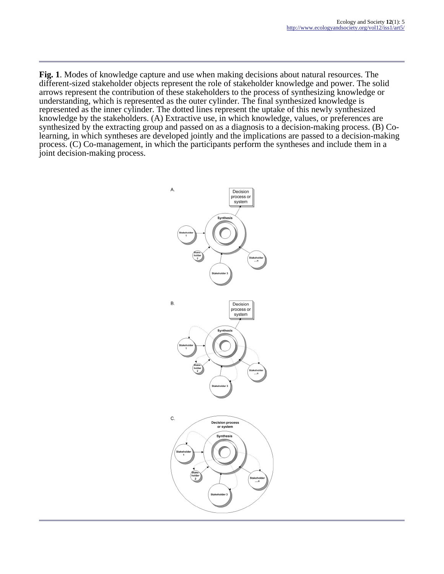**Fig. 1**. Modes of knowledge capture and use when making decisions about natural resources. The different-sized stakeholder objects represent the role of stakeholder knowledge and power. The solid arrows represent the contribution of these stakeholders to the process of synthesizing knowledge or understanding, which is represented as the outer cylinder. The final synthesized knowledge is represented as the inner cylinder. The dotted lines represent the uptake of this newly synthesized knowledge by the stakeholders. (A) Extractive use, in which knowledge, values, or preferences are synthesized by the extracting group and passed on as a diagnosis to a decision-making process. (B) Colearning, in which syntheses are developed jointly and the implications are passed to a decision-making process. (C) Co-management, in which the participants perform the syntheses and include them in a joint decision-making process.

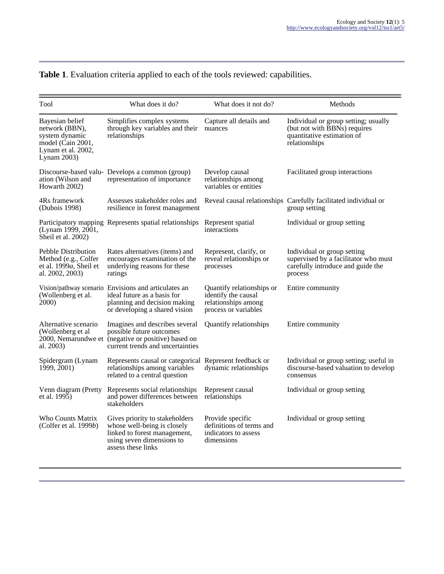| Tool                                                                                                                                                                                                     | What does it do?                                                                                                                                      | What does it not do?                                                                            | Methods                                                                                                             |
|----------------------------------------------------------------------------------------------------------------------------------------------------------------------------------------------------------|-------------------------------------------------------------------------------------------------------------------------------------------------------|-------------------------------------------------------------------------------------------------|---------------------------------------------------------------------------------------------------------------------|
| Bayesian belief<br>network (BBN),<br>system dynamic<br>model (Cain 2001,<br>Lynam et al. 2002,<br>Lynam $2003$ )                                                                                         | Simplifies complex systems<br>through key variables and their<br>relationships                                                                        | Capture all details and<br>nuances                                                              | Individual or group setting; usually<br>(but not with BBNs) requires<br>quantitative estimation of<br>relationships |
| ation (Wilson and<br>Howarth 2002)                                                                                                                                                                       | Discourse-based valu- Develops a common (group)<br>representation of importance                                                                       | Develop causal<br>relationships among<br>variables or entities                                  | Facilitated group interactions                                                                                      |
| 4Rs framework<br>(Dubois 1998)                                                                                                                                                                           | Assesses stakeholder roles and<br>resilience in forest management                                                                                     |                                                                                                 | Reveal causal relationships Carefully facilitated individual or<br>group setting                                    |
| (Lynam 1999, 2001,<br>Sheil et al. 2002)                                                                                                                                                                 | Participatory mapping Represents spatial relationships                                                                                                | Represent spatial<br>interactions                                                               | Individual or group setting                                                                                         |
| Pebble Distribution<br>Method (e.g., Colfer<br>et al. 1999a, Sheil et<br>al. 2002, 2003)                                                                                                                 | Rates alternatives (items) and<br>encourages examination of the<br>underlying reasons for these<br>ratings                                            | Represent, clarify, or<br>reveal relationships or<br>processes                                  | Individual or group setting<br>supervised by a facilitator who must<br>carefully introduce and guide the<br>process |
| (Wollenberg et al.<br><b>2000</b> )                                                                                                                                                                      | Vision/pathway scenario Envisions and articulates an<br>ideal future as a basis for<br>planning and decision making<br>or developing a shared vision  | Quantify relationships or<br>identify the causal<br>relationships among<br>process or variables | Entire community                                                                                                    |
| Alternative scenario<br>(Wollenberg et al<br>al. 2003)                                                                                                                                                   | Imagines and describes several<br>possible future outcomes<br>2000, Nemarundwe et (negative or positive) based on<br>current trends and uncertainties | Quantify relationships                                                                          | Entire community                                                                                                    |
| Spidergram (Lynam<br>$1\bar{9}99, \bar{2}001$                                                                                                                                                            | Represents causal or categorical Represent feedback or<br>relationships among variables<br>related to a central question                              | dynamic relationships                                                                           | Individual or group setting; useful in<br>discourse-based valuation to develop<br>consensus                         |
| Venn diagram (Pretty<br>et al. 1995)                                                                                                                                                                     | Represents social relationships<br>and power differences between<br>stakeholders                                                                      | Represent causal<br>relationships                                                               | Individual or group setting                                                                                         |
| <b>Who Counts Matrix</b><br>Gives priority to stakeholders<br>whose well-being is closely<br>(Colfer et al. $1999b$ )<br>linked to forest management,<br>using seven dimensions to<br>assess these links |                                                                                                                                                       | Provide specific<br>definitions of terms and<br>indicators to assess<br>dimensions              | Individual or group setting                                                                                         |

## **Table 1**. Evaluation criteria applied to each of the tools reviewed: capabilities.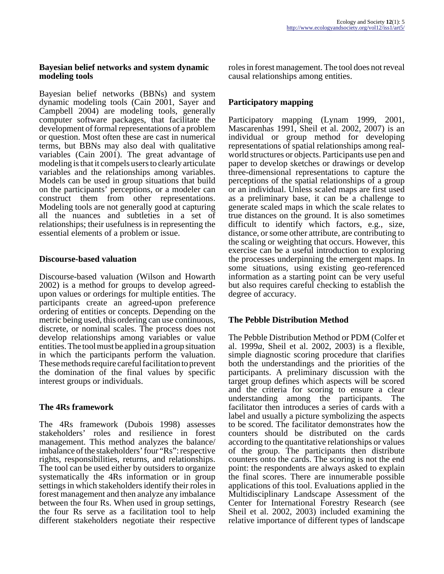#### **Bayesian belief networks and system dynamic modeling tools**

Bayesian belief networks (BBNs) and system dynamic modeling tools (Cain 2001, Sayer and Campbell 2004) are modeling tools, generally computer software packages, that facilitate the development of formal representations of a problem or question. Most often these are cast in numerical terms, but BBNs may also deal with qualitative variables (Cain 2001). The great advantage of modeling is that it compels users to clearly articulate variables and the relationships among variables. Models can be used in group situations that build on the participants' perceptions, or a modeler can construct them from other representations. Modeling tools are not generally good at capturing all the nuances and subtleties in a set of relationships; their usefulness is in representing the essential elements of a problem or issue.

#### **Discourse-based valuation**

Discourse-based valuation (Wilson and Howarth 2002) is a method for groups to develop agreedupon values or orderings for multiple entities. The participants create an agreed-upon preference ordering of entities or concepts. Depending on the metric being used, this ordering can use continuous, discrete, or nominal scales. The process does not develop relationships among variables or value entities. The tool must be applied in a group situation in which the participants perform the valuation. These methods require careful facilitation to prevent the domination of the final values by specific interest groups or individuals.

### **The 4Rs framework**

The 4Rs framework (Dubois 1998) assesses stakeholders' roles and resilience in forest management. This method analyzes the balance/ imbalance of the stakeholders' four "Rs": respective rights, responsibilities, returns, and relationships. The tool can be used either by outsiders to organize systematically the 4Rs information or in group settings in which stakeholders identify their roles in forest management and then analyze any imbalance between the four Rs. When used in group settings, the four Rs serve as a facilitation tool to help different stakeholders negotiate their respective

roles in forest management. The tool does not reveal causal relationships among entities.

### **Participatory mapping**

Participatory mapping (Lynam 1999, 2001, Mascarenhas 1991, Sheil et al. 2002, 2007) is an individual or group method for developing representations of spatial relationships among realworld structures or objects. Participants use pen and paper to develop sketches or drawings or develop three-dimensional representations to capture the perceptions of the spatial relationships of a group or an individual. Unless scaled maps are first used as a preliminary base, it can be a challenge to generate scaled maps in which the scale relates to true distances on the ground. It is also sometimes difficult to identify which factors, e.g., size, distance, or some other attribute, are contributing to the scaling or weighting that occurs. However, this exercise can be a useful introduction to exploring the processes underpinning the emergent maps. In some situations, using existing geo-referenced information as a starting point can be very useful but also requires careful checking to establish the degree of accuracy.

### **The Pebble Distribution Method**

The Pebble Distribution Method or PDM (Colfer et al. 1999*a,* Sheil et al. 2002, 2003) is a flexible, simple diagnostic scoring procedure that clarifies both the understandings and the priorities of the participants. A preliminary discussion with the target group defines which aspects will be scored and the criteria for scoring to ensure a clear understanding among the participants. The facilitator then introduces a series of cards with a label and usually a picture symbolizing the aspects to be scored. The facilitator demonstrates how the counters should be distributed on the cards according to the quantitative relationships or values of the group. The participants then distribute counters onto the cards. The scoring is not the end point: the respondents are always asked to explain the final scores. There are innumerable possible applications of this tool. Evaluations applied in the Multidisciplinary Landscape Assessment of the Center for International Forestry Research (see Sheil et al. 2002, 2003) included examining the relative importance of different types of landscape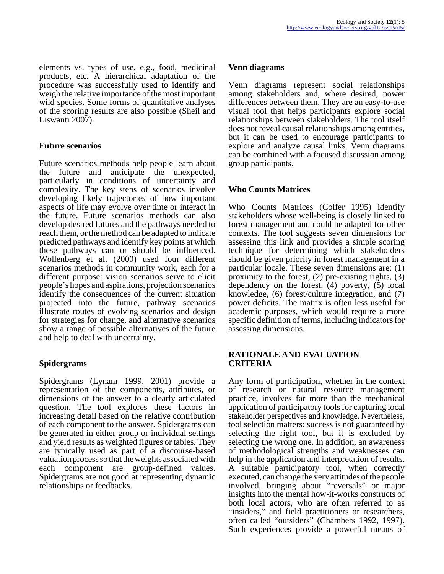elements vs. types of use, e.g., food, medicinal products, etc. A hierarchical adaptation of the procedure was successfully used to identify and weigh the relative importance of the most important wild species. Some forms of quantitative analyses of the scoring results are also possible (Sheil and Liswanti 2007).

### **Future scenarios**

Future scenarios methods help people learn about the future and anticipate the unexpected, particularly in conditions of uncertainty and complexity. The key steps of scenarios involve developing likely trajectories of how important aspects of life may evolve over time or interact in the future. Future scenarios methods can also develop desired futures and the pathways needed to reach them, or the method can be adapted to indicate predicted pathways and identify key points at which these pathways can or should be influenced. Wollenberg et al. (2000) used four different scenarios methods in community work, each for a different purpose: vision scenarios serve to elicit people's hopes and aspirations, projection scenarios identify the consequences of the current situation projected into the future, pathway scenarios illustrate routes of evolving scenarios and design for strategies for change, and alternative scenarios show a range of possible alternatives of the future and help to deal with uncertainty.

### **Spidergrams**

Spidergrams (Lynam 1999, 2001) provide a representation of the components, attributes, or dimensions of the answer to a clearly articulated question. The tool explores these factors in increasing detail based on the relative contribution of each component to the answer. Spidergrams can be generated in either group or individual settings and yield results as weighted figures or tables. They are typically used as part of a discourse-based valuation process so that the weights associated with each component are group-defined values. Spidergrams are not good at representing dynamic relationships or feedbacks.

### **Venn diagrams**

Venn diagrams represent social relationships among stakeholders and, where desired, power differences between them. They are an easy-to-use visual tool that helps participants explore social relationships between stakeholders. The tool itself does not reveal causal relationships among entities, but it can be used to encourage participants to explore and analyze causal links. Venn diagrams can be combined with a focused discussion among group participants.

### **Who Counts Matrices**

Who Counts Matrices (Colfer 1995) identify stakeholders whose well-being is closely linked to forest management and could be adapted for other contexts. The tool suggests seven dimensions for assessing this link and provides a simple scoring technique for determining which stakeholders should be given priority in forest management in a particular locale. These seven dimensions are: (1) proximity to the forest, (2) pre-existing rights, (3) dependency on the forest, (4) poverty, (5) local knowledge, (6) forest/culture integration, and (7) power deficits. The matrix is often less useful for academic purposes, which would require a more specific definition of terms, including indicators for assessing dimensions.

#### **RATIONALE AND EVALUATION CRITERIA**

Any form of participation, whether in the context of research or natural resource management practice, involves far more than the mechanical application of participatory tools for capturing local stakeholder perspectives and knowledge. Nevertheless, tool selection matters: success is not guaranteed by selecting the right tool, but it is excluded by selecting the wrong one. In addition, an awareness of methodological strengths and weaknesses can help in the application and interpretation of results. A suitable participatory tool, when correctly executed, can change the very attitudes of the people involved, bringing about "reversals" or major insights into the mental how-it-works constructs of both local actors, who are often referred to as "insiders," and field practitioners or researchers, often called "outsiders" (Chambers 1992, 1997). Such experiences provide a powerful means of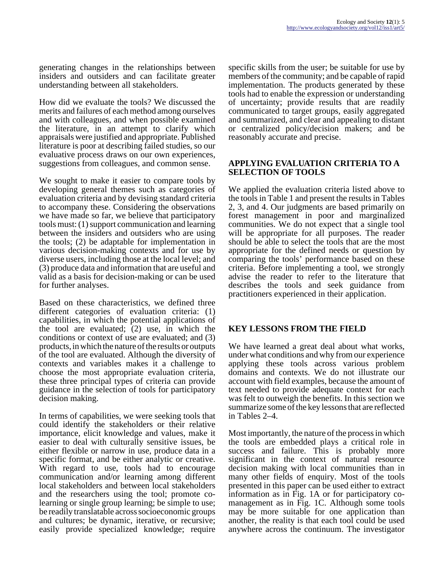generating changes in the relationships between insiders and outsiders and can facilitate greater understanding between all stakeholders.

How did we evaluate the tools? We discussed the merits and failures of each method among ourselves and with colleagues, and when possible examined the literature, in an attempt to clarify which appraisals were justified and appropriate. Published literature is poor at describing failed studies, so our evaluative process draws on our own experiences, suggestions from colleagues, and common sense.

We sought to make it easier to compare tools by developing general themes such as categories of evaluation criteria and by devising standard criteria to accompany these. Considering the observations we have made so far, we believe that participatory tools must: (1) support communication and learning between the insiders and outsiders who are using the tools; (2) be adaptable for implementation in various decision-making contexts and for use by diverse users, including those at the local level; and (3) produce data and information that are useful and valid as a basis for decision-making or can be used for further analyses.

Based on these characteristics, we defined three different categories of evaluation criteria: (1) capabilities, in which the potential applications of the tool are evaluated; (2) use, in which the conditions or context of use are evaluated; and (3) products, in which the nature of the results or outputs of the tool are evaluated. Although the diversity of contexts and variables makes it a challenge to choose the most appropriate evaluation criteria, these three principal types of criteria can provide guidance in the selection of tools for participatory decision making.

In terms of capabilities, we were seeking tools that could identify the stakeholders or their relative importance, elicit knowledge and values, make it easier to deal with culturally sensitive issues, be either flexible or narrow in use, produce data in a specific format, and be either analytic or creative. With regard to use, tools had to encourage communication and/or learning among different local stakeholders and between local stakeholders and the researchers using the tool; promote colearning or single group learning; be simple to use; be readily translatable across socioeconomic groups and cultures; be dynamic, iterative, or recursive; easily provide specialized knowledge; require

specific skills from the user; be suitable for use by members of the community; and be capable of rapid implementation. The products generated by these tools had to enable the expression or understanding of uncertainty; provide results that are readily communicated to target groups, easily aggregated and summarized, and clear and appealing to distant or centralized policy/decision makers; and be reasonably accurate and precise.

#### **APPLYING EVALUATION CRITERIA TO A SELECTION OF TOOLS**

We applied the evaluation criteria listed above to the tools in Table 1 and present the results in Tables 2, 3, and 4. Our judgments are based primarily on forest management in poor and marginalized communities. We do not expect that a single tool will be appropriate for all purposes. The reader should be able to select the tools that are the most appropriate for the defined needs or question by comparing the tools' performance based on these criteria. Before implementing a tool, we strongly advise the reader to refer to the literature that describes the tools and seek guidance from practitioners experienced in their application.

### **KEY LESSONS FROM THE FIELD**

We have learned a great deal about what works, under what conditions and why from our experience applying these tools across various problem domains and contexts. We do not illustrate our account with field examples, because the amount of text needed to provide adequate context for each was felt to outweigh the benefits. In this section we summarize some of the key lessons that are reflected in Tables 2–4.

Most importantly, the nature of the process in which the tools are embedded plays a critical role in success and failure. This is probably more significant in the context of natural resource decision making with local communities than in many other fields of enquiry. Most of the tools presented in this paper can be used either to extract information as in Fig. 1A or for participatory comanagement as in Fig. 1C. Although some tools may be more suitable for one application than another, the reality is that each tool could be used anywhere across the continuum. The investigator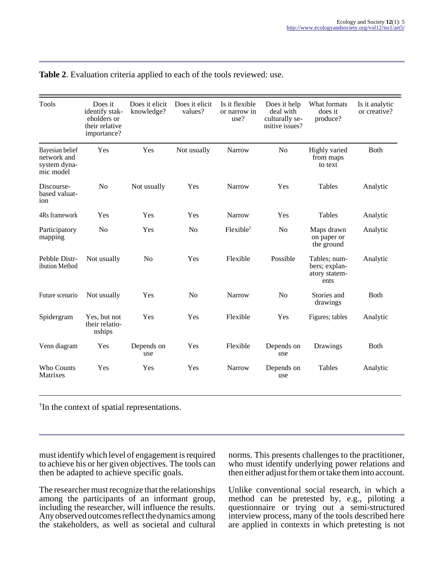| <b>Tools</b>                                                | Does it<br>identify stak-<br>eholders or<br>their relative<br>importance? | Does it elicit<br>knowledge? | Does it elicit<br>values? | Is it flexible<br>or narrow in<br>use? | Does it help<br>deal with<br>culturally se-<br>nsitive issues? | What formats<br>does it<br>produce?                    | Is it analytic<br>or creative? |
|-------------------------------------------------------------|---------------------------------------------------------------------------|------------------------------|---------------------------|----------------------------------------|----------------------------------------------------------------|--------------------------------------------------------|--------------------------------|
| Bayesian belief<br>network and<br>system dyna-<br>mic model | Yes                                                                       | Yes                          | Not usually               | <b>Narrow</b>                          | N <sub>0</sub>                                                 | Highly varied<br>from maps<br>to text                  | <b>B</b> oth                   |
| Discourse-<br>based valuat-<br>ion                          | N <sub>o</sub>                                                            | Not usually                  | Yes                       | Narrow                                 | Yes                                                            | Tables                                                 | Analytic                       |
| 4Rs framework                                               | Yes                                                                       | Yes                          | Yes                       | <b>Narrow</b>                          | Yes                                                            | Tables                                                 | Analytic                       |
| Participatory<br>mapping                                    | N <sub>o</sub>                                                            | Yes                          | N <sub>o</sub>            | $Flexible^{\dagger}$                   | N <sub>o</sub>                                                 | Maps drawn<br>on paper or<br>the ground                | Analytic                       |
| Pebble Distr-<br>ibution Method                             | Not usually                                                               | N <sub>0</sub>               | Yes                       | Flexible                               | Possible                                                       | Tables; num-<br>bers; explan-<br>atory statem-<br>ents | Analytic                       |
| Future scenario                                             | Not usually                                                               | Yes                          | N <sub>o</sub>            | <b>Narrow</b>                          | N <sub>0</sub>                                                 | Stories and<br>drawings                                | <b>B</b> oth                   |
| Spidergram                                                  | Yes, but not<br>their relatio-<br>nships                                  | Yes                          | Yes                       | Flexible                               | Yes                                                            | Figures; tables                                        | Analytic                       |
| Venn diagram                                                | Yes                                                                       | Depends on<br>use            | Yes                       | Flexible                               | Depends on<br>use                                              | Drawings                                               | <b>B</b> oth                   |
| <b>Who Counts</b><br>Matrixes                               | Yes                                                                       | Yes                          | Yes                       | Narrow                                 | Depends on<br>use                                              | Tables                                                 | Analytic                       |

**Table 2**. Evaluation criteria applied to each of the tools reviewed: use.

† In the context of spatial representations.

must identify which level of engagement is required to achieve his or her given objectives. The tools can then be adapted to achieve specific goals.

The researcher must recognize that the relationships among the participants of an informant group, including the researcher, will influence the results. Any observed outcomes reflect the dynamics among the stakeholders, as well as societal and cultural

norms. This presents challenges to the practitioner, who must identify underlying power relations and then either adjust for them or take them into account.

Unlike conventional social research, in which a method can be pretested by, e.g., piloting a questionnaire or trying out a semi-structured interview process, many of the tools described here are applied in contexts in which pretesting is not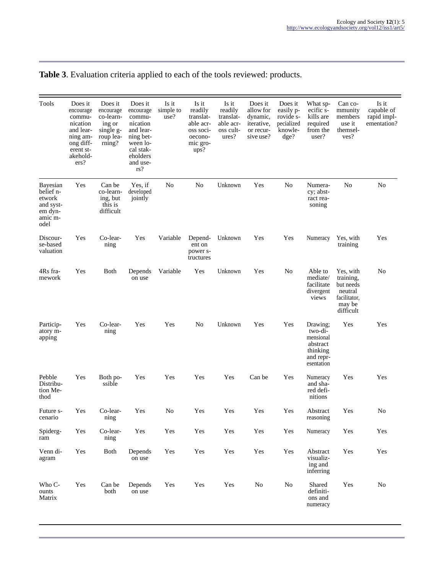## **Table 3**. Evaluation criteria applied to each of the tools reviewed: products.

| Tools                                                                      | Does it<br>encourage<br>commu-<br>nication<br>and lear-<br>ning am-<br>ong diff-<br>erent st-<br>akehold-<br>ers? | Does it<br>encourage<br>co-learn-<br>ing or<br>single g-<br>roup lea-<br>rning? | Does it<br>encourage<br>commu-<br>nication<br>and lear-<br>ning bet-<br>ween lo-<br>cal stak-<br>eholders<br>and use-<br>rs? | Is it<br>simple to<br>use? | Is it<br>readily<br>translat-<br>able acr-<br>oss soci-<br>oecono-<br>mic gro-<br>ups? | Is it<br>readily<br>translat-<br>able acr-<br>oss cult-<br>ures? | Does it<br>allow for<br>dynamic,<br>iterative,<br>or recur-<br>sive use? | Does it<br>easily p-<br>rovide s-<br>pecialized<br>knowle-<br>$\text{dge?}$ | What sp-<br>ecific s-<br>kills are<br>required<br>from the<br>user?                 | Can co-<br>mmunity<br>members<br>use it<br>themsel-<br>ves?                           | Is it<br>capable of<br>rapid impl-<br>ementation? |
|----------------------------------------------------------------------------|-------------------------------------------------------------------------------------------------------------------|---------------------------------------------------------------------------------|------------------------------------------------------------------------------------------------------------------------------|----------------------------|----------------------------------------------------------------------------------------|------------------------------------------------------------------|--------------------------------------------------------------------------|-----------------------------------------------------------------------------|-------------------------------------------------------------------------------------|---------------------------------------------------------------------------------------|---------------------------------------------------|
| Bayesian<br>belief n-<br>etwork<br>and syst-<br>em dyn-<br>amic m-<br>odel | Yes                                                                                                               | Can be<br>co-learn-<br>ing, but<br>this is<br>difficult                         | Yes, if<br>developed<br>jointly                                                                                              | No                         | No                                                                                     | Unknown                                                          | Yes                                                                      | No                                                                          | Numera-<br>cy; abst-<br>ract rea-<br>soning                                         | No                                                                                    | No                                                |
| Discour-<br>se-based<br>valuation                                          | Yes                                                                                                               | Co-lear-<br>ning                                                                | Yes                                                                                                                          | Variable                   | Depend-<br>ent on<br>power s-<br>tructures                                             | Unknown                                                          | Yes                                                                      | Yes                                                                         | Numeracy                                                                            | Yes, with<br>training                                                                 | Yes                                               |
| 4Rs fra-<br>mework                                                         | Yes                                                                                                               | <b>Both</b>                                                                     | Depends<br>on use                                                                                                            | Variable                   | Yes                                                                                    | Unknown                                                          | Yes                                                                      | No                                                                          | Able to<br>mediate/<br>facilitate<br>divergent<br>views                             | Yes, with<br>training,<br>but needs<br>neutral<br>facilitator,<br>may be<br>difficult | N <sub>0</sub>                                    |
| Particip-<br>atory m-<br>apping                                            | Yes                                                                                                               | Co-lear-<br>ning                                                                | Yes                                                                                                                          | Yes                        | No                                                                                     | Unknown                                                          | Yes                                                                      | Yes                                                                         | Drawing;<br>two-di-<br>mensional<br>abstract<br>thinking<br>and repr-<br>esentation | Yes                                                                                   | Yes                                               |
| Pebble<br>Distribu-<br>tion Me-<br>thod                                    | Yes                                                                                                               | Both po-<br>ssible                                                              | Yes                                                                                                                          | Yes                        | Yes                                                                                    | Yes                                                              | Can be                                                                   | Yes                                                                         | Numeracy<br>and sha-<br>red defi-<br>nitions                                        | Yes                                                                                   | Yes                                               |
| Future s-<br>cenario                                                       | Yes                                                                                                               | Co-lear-<br>ning                                                                | Yes                                                                                                                          | No                         | Yes                                                                                    | Yes                                                              | Yes                                                                      | Yes                                                                         | Abstract<br>reasoning                                                               | Yes                                                                                   | N <sub>0</sub>                                    |
| Spiderg-<br>ram                                                            | Yes                                                                                                               | Co-lear-<br>ning                                                                | Yes                                                                                                                          | Yes                        | Yes                                                                                    | Yes                                                              | Yes                                                                      | Yes                                                                         | Numeracy                                                                            | Yes                                                                                   | Yes                                               |
| Venn di-<br>agram                                                          | Yes                                                                                                               | Both                                                                            | Depends<br>on use                                                                                                            | Yes                        | Yes                                                                                    | Yes                                                              | Yes                                                                      | Yes                                                                         | Abstract<br>visualiz-<br>ing and<br>inferring                                       | Yes                                                                                   | Yes                                               |
| Who C-<br>ounts<br>Matrix                                                  | Yes                                                                                                               | Can be<br>both                                                                  | Depends<br>on use                                                                                                            | Yes                        | Yes                                                                                    | Yes                                                              | $\rm No$                                                                 | $\rm No$                                                                    | Shared<br>definiti-<br>ons and<br>numeracy                                          | Yes                                                                                   | $\rm No$                                          |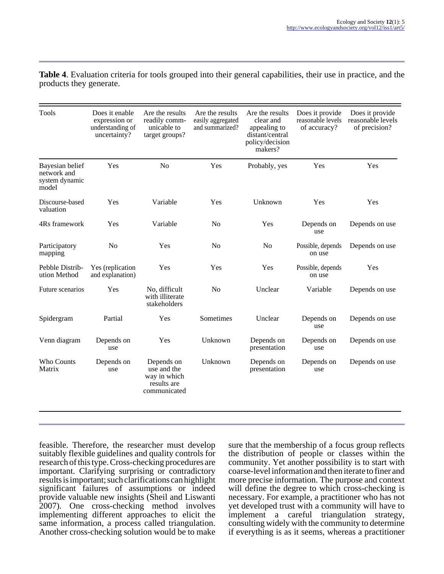**Table 4**. Evaluation criteria for tools grouped into their general capabilities, their use in practice, and the products they generate.

| <b>Tools</b>                                              | Does it enable<br>expression or<br>understanding of<br>uncertainty? | Are the results<br>readily comm-<br>unicable to<br>target groups?        | Are the results<br>easily aggregated<br>and summarized? | Are the results<br>clear and<br>appealing to<br>distant/central<br>policy/decision<br>makers? | Does it provide<br>reasonable levels<br>of accuracy? | Does it provide<br>reasonable levels<br>of precision? |
|-----------------------------------------------------------|---------------------------------------------------------------------|--------------------------------------------------------------------------|---------------------------------------------------------|-----------------------------------------------------------------------------------------------|------------------------------------------------------|-------------------------------------------------------|
| Bayesian belief<br>network and<br>system dynamic<br>model | Yes                                                                 | N <sub>0</sub>                                                           | Yes                                                     | Probably, yes                                                                                 | Yes                                                  | Yes                                                   |
| Discourse-based<br>valuation                              | Yes                                                                 | Variable                                                                 | Yes<br>Unknown                                          |                                                                                               | Yes                                                  | Yes                                                   |
| 4Rs framework                                             | Yes                                                                 | Variable                                                                 | N <sub>0</sub>                                          | Yes                                                                                           | Depends on<br>use                                    | Depends on use                                        |
| Participatory<br>mapping                                  | N <sub>0</sub>                                                      | Yes                                                                      | N <sub>0</sub>                                          | N <sub>0</sub>                                                                                | Possible, depends<br>on use                          | Depends on use                                        |
| Pebble Distrib-<br>ution Method                           | Yes (replication)<br>and explanation)                               | Yes                                                                      | Yes                                                     | Yes                                                                                           | Possible, depends<br>on use                          | Yes                                                   |
| Future scenarios                                          | Yes                                                                 | No, difficult<br>with illiterate<br>stakeholders                         | N <sub>0</sub>                                          | Unclear                                                                                       | Variable                                             | Depends on use                                        |
| Spidergram                                                | Partial                                                             | Yes                                                                      | Sometimes                                               | Unclear                                                                                       | Depends on<br>use                                    | Depends on use                                        |
| Venn diagram                                              | Depends on<br>use                                                   | Yes                                                                      | Unknown                                                 | Depends on<br>presentation                                                                    | Depends on<br>use                                    | Depends on use                                        |
| Who Counts<br>Matrix                                      | Depends on<br>use                                                   | Depends on<br>use and the<br>way in which<br>results are<br>communicated | Unknown                                                 | Depends on<br>presentation                                                                    | Depends on<br>use                                    | Depends on use                                        |

feasible. Therefore, the researcher must develop suitably flexible guidelines and quality controls for research of this type. Cross-checking procedures are important. Clarifying surprising or contradictory results is important; such clarifications can highlight significant failures of assumptions or indeed provide valuable new insights (Sheil and Liswanti 2007). One cross-checking method involves implementing different approaches to elicit the same information, a process called triangulation. Another cross-checking solution would be to make

sure that the membership of a focus group reflects the distribution of people or classes within the community. Yet another possibility is to start with coarse-level information and then iterate to finer and more precise information. The purpose and context will define the degree to which cross-checking is necessary. For example, a practitioner who has not yet developed trust with a community will have to implement a careful triangulation strategy, consulting widely with the community to determine if everything is as it seems, whereas a practitioner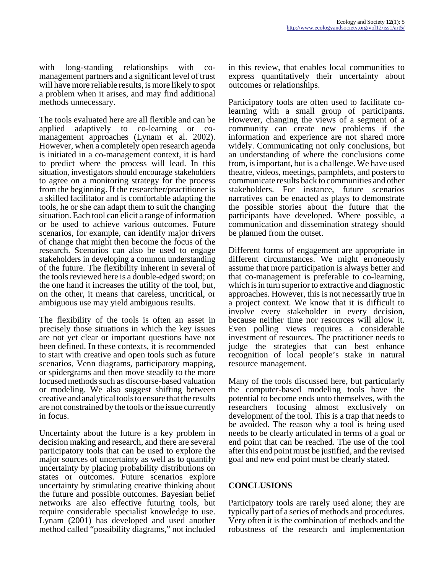with long-standing relationships with comanagement partners and a significant level of trust will have more reliable results, is more likely to spot a problem when it arises, and may find additional methods unnecessary.

The tools evaluated here are all flexible and can be applied adaptively to co-learning or comanagement approaches (Lynam et al. 2002). However, when a completely open research agenda is initiated in a co-management context, it is hard to predict where the process will lead. In this situation, investigators should encourage stakeholders to agree on a monitoring strategy for the process from the beginning. If the researcher/practitioner is a skilled facilitator and is comfortable adapting the tools, he or she can adapt them to suit the changing situation. Each tool can elicit a range of information or be used to achieve various outcomes. Future scenarios, for example, can identify major drivers of change that might then become the focus of the research. Scenarios can also be used to engage stakeholders in developing a common understanding of the future. The flexibility inherent in several of the tools reviewed here is a double-edged sword; on the one hand it increases the utility of the tool, but, on the other, it means that careless, uncritical, or ambiguous use may yield ambiguous results.

The flexibility of the tools is often an asset in precisely those situations in which the key issues are not yet clear or important questions have not been defined. In these contexts, it is recommended to start with creative and open tools such as future scenarios, Venn diagrams, participatory mapping, or spidergrams and then move steadily to the more focused methods such as discourse-based valuation or modeling. We also suggest shifting between creative and analytical tools to ensure that the results are not constrained by the tools or the issue currently in focus.

Uncertainty about the future is a key problem in decision making and research, and there are several participatory tools that can be used to explore the major sources of uncertainty as well as to quantify uncertainty by placing probability distributions on states or outcomes. Future scenarios explore uncertainty by stimulating creative thinking about the future and possible outcomes. Bayesian belief networks are also effective futuring tools, but require considerable specialist knowledge to use. Lynam (2001) has developed and used another method called "possibility diagrams," not included

in this review, that enables local communities to express quantitatively their uncertainty about outcomes or relationships.

Participatory tools are often used to facilitate colearning with a small group of participants. However, changing the views of a segment of a community can create new problems if the information and experience are not shared more widely. Communicating not only conclusions, but an understanding of where the conclusions come from, is important, but is a challenge. We have used theatre, videos, meetings, pamphlets, and posters to communicate results back to communities and other stakeholders. For instance, future scenarios narratives can be enacted as plays to demonstrate the possible stories about the future that the participants have developed. Where possible, a communication and dissemination strategy should be planned from the outset.

Different forms of engagement are appropriate in different circumstances. We might erroneously assume that more participation is always better and that co-management is preferable to co-learning, which is in turn superior to extractive and diagnostic approaches. However, this is not necessarily true in a project context. We know that it is difficult to involve every stakeholder in every decision, because neither time nor resources will allow it. Even polling views requires a considerable investment of resources. The practitioner needs to judge the strategies that can best enhance recognition of local people's stake in natural resource management.

Many of the tools discussed here, but particularly the computer-based modeling tools have the potential to become ends unto themselves, with the researchers focusing almost exclusively on development of the tool. This is a trap that needs to be avoided. The reason why a tool is being used needs to be clearly articulated in terms of a goal or end point that can be reached. The use of the tool after this end point must be justified, and the revised goal and new end point must be clearly stated.

### **CONCLUSIONS**

Participatory tools are rarely used alone; they are typically part of a series of methods and procedures. Very often it is the combination of methods and the robustness of the research and implementation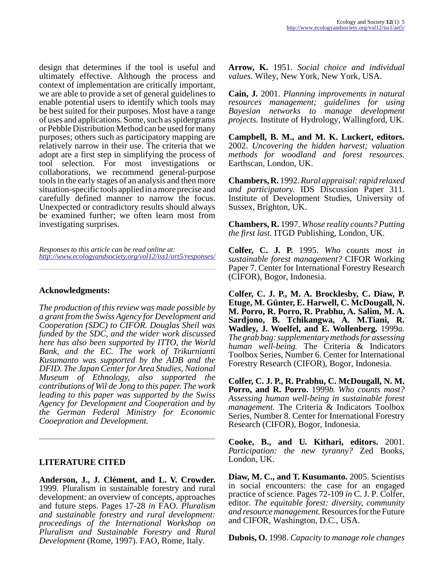design that determines if the tool is useful and ultimately effective. Although the process and context of implementation are critically important, we are able to provide a set of general guidelines to enable potential users to identify which tools may be best suited for their purposes. Most have a range of uses and applications. Some, such as spidergrams or Pebble Distribution Method can be used for many purposes; others such as participatory mapping are relatively narrow in their use. The criteria that we adopt are a first step in simplifying the process of tool selection. For most investigations or collaborations, we recommend general-purpose tools in the early stages of an analysis and then more situation-specific tools applied in a more precise and carefully defined manner to narrow the focus. Unexpected or contradictory results should always be examined further; we often learn most from investigating surprises.

*Responses to this article can be read online at: <http://www.ecologyandsociety.org/vol12/iss1/art5/responses/>*

#### **Acknowledgments:**

*The production of this review was made possible by a grant from the Swiss Agency for Development and Cooperation (SDC) to CIFOR. Douglas Sheil was funded by the SDC, and the wider work discussed here has also been supported by ITTO, the World Bank, and the EC. The work of Trikurnianti Kusumanto was supported by the ADB and the DFID. The Japan Center for Area Studies, National Museum of Ethnology, also supported the contributions of Wil de Jong to this paper. The work leading to this paper was supported by the Swiss Agency for Development and Cooperation and by the German Federal Ministry for Economic Cooepration and Development.*

### **LITERATURE CITED**

**Anderson, J., J. Clément, and L. V. Crowder.** 1999. Pluralism in sustainable forestry and rural development: an overview of concepts, approaches and future steps. Pages 17-28 *in* FAO. *Pluralism and sustainable forestry and rural development: proceedings of the International Workshop on Pluralism and Sustainable Forestry and Rural Development* (Rome, 1997). FAO, Rome, Italy.

**Arrow, K.** 1951. *Social choice and individual values.* Wiley, New York, New York, USA.

**Cain, J.** 2001. *Planning improvements in natural resources management; guidelines for using Bayesian networks to manage development projects.* Institute of Hydrology, Wallingford, UK.

**Campbell, B. M., and M. K. Luckert, editors.** 2002. *Uncovering the hidden harvest; valuation methods for woodland and forest resources.* Earthscan, London, UK.

**Chambers, R.** 1992. *Rural appraisal: rapid relaxed and participatory.* IDS Discussion Paper 311. Institute of Development Studies, University of Sussex, Brighton, UK.

**Chambers, R.** 1997. *Whose reality counts? Putting the first last.* ITGD Publishing, London, UK.

**Colfer, C. J. P.** 1995. *Who counts most in sustainable forest management?* CIFOR Working Paper 7. Center for International Forestry Research (CIFOR), Bogor, Indonesia.

**Colfer, C. J. P., M. A. Brocklesby, C. Diaw, P. Etuge, M. Günter, E. Harwell, C. McDougall, N. M. Porro, R. Porro, R. Prabhu, A. Salim, M. A. Sardjono, B. Tchikangwa, A. M.Tiani, R. Wadley, J. Woelfel, and E. Wollenberg.** 1999*a. The grab bag: supplementary methods for assessing human well-being.* The Criteria & Indicators Toolbox Series, Number 6. Center for International Forestry Research (CIFOR), Bogor, Indonesia.

**Colfer, C. J. P., R. Prabhu, C. McDougall, N. M. Porro, and R. Porro.** 1999*b. Who counts most? Assessing human well-being in sustainable forest management.* The Criteria & Indicators Toolbox Series, Number 8. Center for International Forestry Research (CIFOR), Bogor, Indonesia.

**Cooke, B., and U. Kithari, editors.** 2001. *Participation: the new tyranny?* Zed Books, London, UK.

**Diaw, M. C., and T. Kusumanto.** 2005. Scientists in social encounters: the case for an engaged practice of science. Pages 72-109 *in* C. J. P. Colfer, editor. *The equitable forest: diversity, community and resource management.* Resources for the Future and CIFOR, Washington, D.C., USA.

**Dubois, O.** 1998. *Capacity to manage role changes*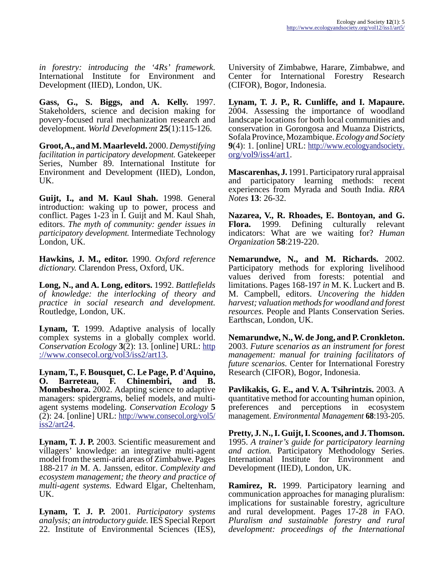*in forestry: introducing the '4Rs' framework.* International Institute for Environment and Development (IIED), London, UK.

**Gass, G., S. Biggs, and A. Kelly.** 1997. Stakeholders, science and decision making for povery-focused rural mechanization research and development. *World Development* **25**(1):115-126.

**Groot, A., and M. Maarleveld.** 2000. *Demystifying facilitation in participatory development.* Gatekeeper Series, Number 89. International Institute for Environment and Development (IIED), London, UK.

**Guijt, I., and M. Kaul Shah.** 1998. General introduction: waking up to power, process and conflict. Pages 1-23 in I. Guijt and M. Kaul Shah, editors. *The myth of community: gender issues in participatory development.* Intermediate Technology London, UK.

**Hawkins, J. M., editor.** 1990. *Oxford reference dictionary.* Clarendon Press, Oxford, UK.

**Long, N., and A. Long, editors.** 1992. *Battlefields of knowledge: the interlocking of theory and practice in social research and development.* Routledge, London, UK.

**Lynam, T.** 1999. Adaptive analysis of locally complex systems in a globally complex world. *Conservation Ecology* **3**(2): 13. [online] URL: [http](http://www.consecol.org/vol3/iss2/art13) [://www.consecol.org/vol3/iss2/art13.](http://www.consecol.org/vol3/iss2/art13)

**Lynam, T., F. Bousquet, C. Le Page, P. d'Aquino, O. Barreteau, F. Chinembiri, and B. Mombeshora.** 2002. Adapting science to adaptive managers: spidergrams, belief models, and multiagent systems modeling. *Conservation Ecology* **5**  $(2)$ : 24. [online] URL: [http://www.consecol.org/vol5/](http://www.consecol.org/vol5/iss2/art24)  $iss2/art24$ .

**Lynam, T. J. P.** 2003. Scientific measurement and villagers' knowledge: an integrative multi-agent model from the semi-arid areas of Zimbabwe. Pages 188-217 *in* M. A. Janssen, editor. *Complexity and ecosystem management; the theory and practice of multi-agent systems.* Edward Elgar, Cheltenham, UK.

**Lynam, T. J. P.** 2001. *Participatory systems analysis; an introductory guide.* IES Special Report 22. Institute of Environmental Sciences (IES),

University of Zimbabwe, Harare, Zimbabwe, and Center for International Forestry Research (CIFOR), Bogor, Indonesia.

**Lynam, T. J. P., R. Cunliffe, and I. Mapaure.** 2004. Assessing the importance of woodland landscape locations for both local communities and conservation in Gorongosa and Muanza Districts, Sofala Province, Mozambique. *Ecology and Society* **9**(4): 1. [online] URL: [http://www.ecologyandsociety.](http://www.ecologyandsociety.org/vol9/iss4/art1) [org/vol9/iss4/art1.](http://www.ecologyandsociety.org/vol9/iss4/art1)

**Mascarenhas, J.** 1991. Participatory rural appraisal and participatory learning methods: recent experiences from Myrada and South India. *RRA Notes* **13**: 26-32.

**Nazarea, V., R. Rhoades, E. Bontoyan, and G. Flora.** 1999. Defining culturally relevant indicators: What are we waiting for? *Human Organization* **58**:219-220.

**Nemarundwe, N., and M. Richards.** 2002. Participatory methods for exploring livelihood values derived from forests: potential and limitations. Pages 168-197 *in* M. K. Luckert and B. M. Campbell, editors. *Uncovering the hidden harvest; valuation methods for woodland and forest resources.* People and Plants Conservation Series. Earthscan, London, UK.

**Nemarundwe, N., W. de Jong, and P. Cronkleton.** 2003. *Future scenarios as an instrument for forest management: manual for training facilitators of future scenarios.* Center for International Forestry Research (CIFOR), Bogor, Indonesia.

**Pavlikakis, G. E., and V. A. Tsihrintzis.** 2003. A quantitative method for accounting human opinion, preferences and perceptions in ecosystem management. *Environmental Management* **68**:193-205.

**Pretty, J. N., I. Guijt, I. Scoones, and J. Thomson.** 1995. *A trainer's guide for participatory learning and action.* Participatory Methodology Series. International Institute for Environment and Development (IIED), London, UK.

**Ramirez, R.** 1999. Participatory learning and communication approaches for managing pluralism: implications for sustainable forestry, agriculture and rural development. Pages 17-28 *in* FAO. *Pluralism and sustainable forestry and rural development: proceedings of the International*